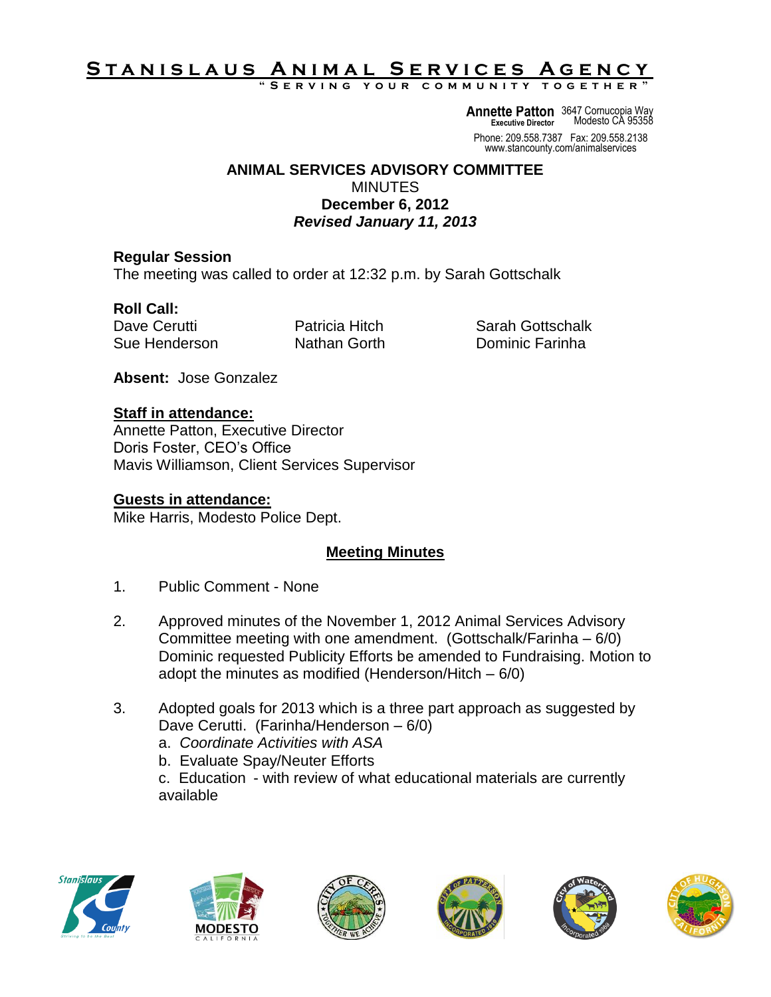# <u>STANISLAUS ANIMAL SERVICES AGENCY</u>

**" S e r v i n g y o u r c o m m u n i t y t o g e t h e r "**

**Annette Patton** 3647 Cornucopia Way **Executive Director** Modesto CA 95358

Phone: 209.558.7387 Fax: 209.558.2138 www.stancounty.com/animalservices

#### **ANIMAL SERVICES ADVISORY COMMITTEE MINUTES December 6, 2012** *Revised January 11, 2013*

# **Regular Session**

The meeting was called to order at 12:32 p.m. by Sarah Gottschalk

# **Roll Call:**

Dave Cerutti Patricia Hitch Sarah Gottschalk Sue Henderson Nathan Gorth Dominic Farinha

**Absent:** Jose Gonzalez

#### **Staff in attendance:**

Annette Patton, Executive Director Doris Foster, CEO's Office Mavis Williamson, Client Services Supervisor

### **Guests in attendance:**

Mike Harris, Modesto Police Dept.

# **Meeting Minutes**

- 1. Public Comment None
- 2. Approved minutes of the November 1, 2012 Animal Services Advisory Committee meeting with one amendment. (Gottschalk/Farinha – 6/0) Dominic requested Publicity Efforts be amended to Fundraising. Motion to adopt the minutes as modified (Henderson/Hitch – 6/0)
- 3. Adopted goals for 2013 which is a three part approach as suggested by Dave Cerutti. (Farinha/Henderson – 6/0)
	- a. *Coordinate Activities with ASA*
	- b. Evaluate Spay/Neuter Efforts

c. Education - with review of what educational materials are currently available